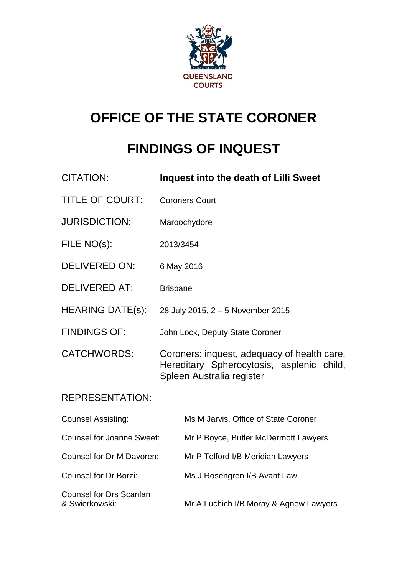

# **OFFICE OF THE STATE CORONER**

# **FINDINGS OF INQUEST**

| Inquest into the death of Lilli Sweet                                                                                 |
|-----------------------------------------------------------------------------------------------------------------------|
| <b>Coroners Court</b>                                                                                                 |
| Maroochydore                                                                                                          |
| 2013/3454                                                                                                             |
| 6 May 2016                                                                                                            |
| <b>Brisbane</b>                                                                                                       |
| 28 July 2015, 2 - 5 November 2015                                                                                     |
| John Lock, Deputy State Coroner                                                                                       |
| Coroners: inquest, adequacy of health care,<br>Hereditary Spherocytosis, asplenic child,<br>Spleen Australia register |
|                                                                                                                       |
| Ms M Jarvis, Office of State Coroner                                                                                  |
| <b>Counsel for Joanne Sweet:</b><br>Mr P Boyce, Butler McDermott Lawyers                                              |
| Counsel for Dr M Davoren:<br>Mr P Telford I/B Meridian Lawyers                                                        |
| Ms J Rosengren I/B Avant Law                                                                                          |
| Mr A Luchich I/B Moray & Agnew Lawyers                                                                                |
|                                                                                                                       |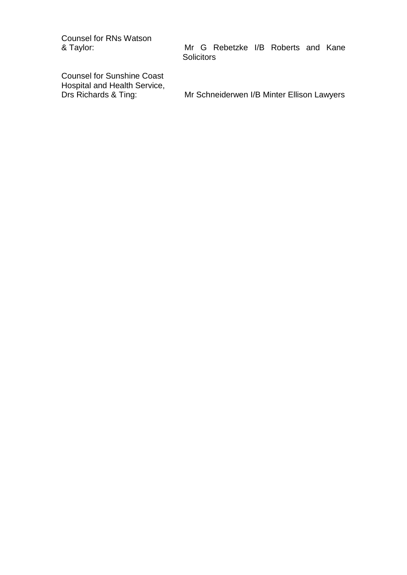Counsel for RNs Watson<br>& Taylor:

Counsel for Sunshine Coast Hospital and Health Service,<br>Drs Richards & Ting:

Mr G Rebetzke I/B Roberts and Kane **Solicitors** 

Mr Schneiderwen I/B Minter Ellison Lawyers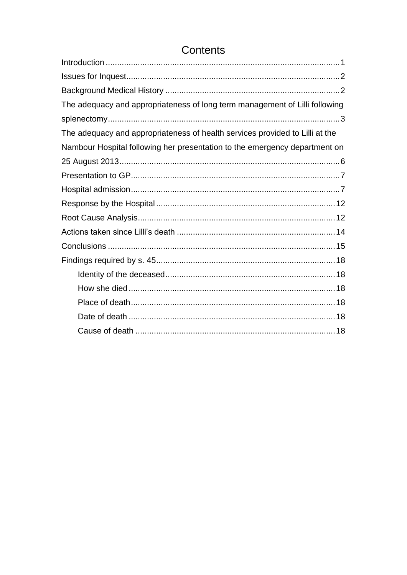# Contents

| The adequacy and appropriateness of long term management of Lilli following  |
|------------------------------------------------------------------------------|
|                                                                              |
| The adequacy and appropriateness of health services provided to Lilli at the |
| Nambour Hospital following her presentation to the emergency department on   |
|                                                                              |
|                                                                              |
|                                                                              |
|                                                                              |
|                                                                              |
|                                                                              |
|                                                                              |
|                                                                              |
|                                                                              |
|                                                                              |
|                                                                              |
|                                                                              |
|                                                                              |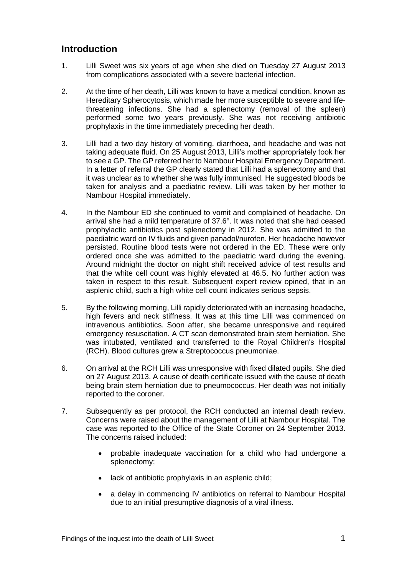# <span id="page-3-0"></span>**Introduction**

- 1. Lilli Sweet was six years of age when she died on Tuesday 27 August 2013 from complications associated with a severe bacterial infection.
- 2. At the time of her death, Lilli was known to have a medical condition, known as Hereditary Spherocytosis, which made her more susceptible to severe and lifethreatening infections. She had a splenectomy (removal of the spleen) performed some two years previously. She was not receiving antibiotic prophylaxis in the time immediately preceding her death.
- 3. Lilli had a two day history of vomiting, diarrhoea, and headache and was not taking adequate fluid. On 25 August 2013, Lilli's mother appropriately took her to see a GP. The GP referred her to Nambour Hospital Emergency Department. In a letter of referral the GP clearly stated that Lilli had a splenectomy and that it was unclear as to whether she was fully immunised. He suggested bloods be taken for analysis and a paediatric review. Lilli was taken by her mother to Nambour Hospital immediately.
- 4. In the Nambour ED she continued to vomit and complained of headache. On arrival she had a mild temperature of 37.6°. It was noted that she had ceased prophylactic antibiotics post splenectomy in 2012. She was admitted to the paediatric ward on IV fluids and given panadol/nurofen. Her headache however persisted. Routine blood tests were not ordered in the ED. These were only ordered once she was admitted to the paediatric ward during the evening. Around midnight the doctor on night shift received advice of test results and that the white cell count was highly elevated at 46.5. No further action was taken in respect to this result. Subsequent expert review opined, that in an asplenic child, such a high white cell count indicates serious sepsis.
- 5. By the following morning, Lilli rapidly deteriorated with an increasing headache, high fevers and neck stiffness. It was at this time Lilli was commenced on intravenous antibiotics. Soon after, she became unresponsive and required emergency resuscitation. A CT scan demonstrated brain stem herniation. She was intubated, ventilated and transferred to the Royal Children's Hospital (RCH). Blood cultures grew a Streptococcus pneumoniae.
- 6. On arrival at the RCH Lilli was unresponsive with fixed dilated pupils. She died on 27 August 2013. A cause of death certificate issued with the cause of death being brain stem herniation due to pneumococcus. Her death was not initially reported to the coroner.
- 7. Subsequently as per protocol, the RCH conducted an internal death review. Concerns were raised about the management of Lilli at Nambour Hospital. The case was reported to the Office of the State Coroner on 24 September 2013. The concerns raised included:
	- probable inadequate vaccination for a child who had undergone a splenectomy;
	- lack of antibiotic prophylaxis in an asplenic child:
	- a delay in commencing IV antibiotics on referral to Nambour Hospital due to an initial presumptive diagnosis of a viral illness.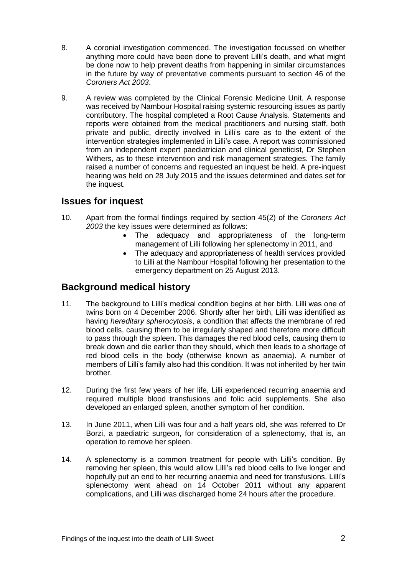- 8. A coronial investigation commenced. The investigation focussed on whether anything more could have been done to prevent Lilli's death, and what might be done now to help prevent deaths from happening in similar circumstances in the future by way of preventative comments pursuant to section 46 of the *Coroners Act 2003*.
- 9. A review was completed by the Clinical Forensic Medicine Unit. A response was received by Nambour Hospital raising systemic resourcing issues as partly contributory. The hospital completed a Root Cause Analysis. Statements and reports were obtained from the medical practitioners and nursing staff, both private and public, directly involved in Lilli's care as to the extent of the intervention strategies implemented in Lilli's case. A report was commissioned from an independent expert paediatrician and clinical geneticist, Dr Stephen Withers, as to these intervention and risk management strategies. The family raised a number of concerns and requested an inquest be held. A pre-inquest hearing was held on 28 July 2015 and the issues determined and dates set for the inquest.

# <span id="page-4-0"></span>**Issues for inquest**

- 10. Apart from the formal findings required by section 45(2) of the *Coroners Act 2003* the key issues were determined as follows:
	- The adequacy and appropriateness of the long-term management of Lilli following her splenectomy in 2011, and
	- The adequacy and appropriateness of health services provided to Lilli at the Nambour Hospital following her presentation to the emergency department on 25 August 2013.

# <span id="page-4-1"></span>**Background medical history**

- 11. The background to Lilli's medical condition begins at her birth. Lilli was one of twins born on 4 December 2006. Shortly after her birth, Lilli was identified as having *hereditary spherocytosis*, a condition that affects the membrane of red blood cells, causing them to be irregularly shaped and therefore more difficult to pass through the spleen. This damages the red blood cells, causing them to break down and die earlier than they should, which then leads to a shortage of red blood cells in the body (otherwise known as anaemia). A number of members of Lilli's family also had this condition. It was not inherited by her twin brother.
- 12. During the first few years of her life, Lilli experienced recurring anaemia and required multiple blood transfusions and folic acid supplements. She also developed an enlarged spleen, another symptom of her condition.
- 13. In June 2011, when Lilli was four and a half years old, she was referred to Dr Borzi, a paediatric surgeon, for consideration of a splenectomy, that is, an operation to remove her spleen.
- 14. A splenectomy is a common treatment for people with Lilli's condition. By removing her spleen, this would allow Lilli's red blood cells to live longer and hopefully put an end to her recurring anaemia and need for transfusions. Lilli's splenectomy went ahead on 14 October 2011 without any apparent complications, and Lilli was discharged home 24 hours after the procedure.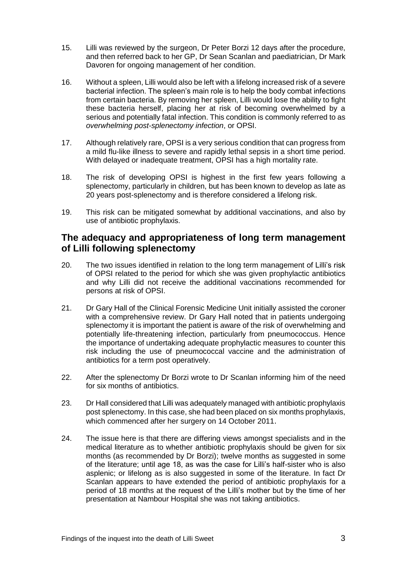- 15. Lilli was reviewed by the surgeon, Dr Peter Borzi 12 days after the procedure, and then referred back to her GP, Dr Sean Scanlan and paediatrician, Dr Mark Davoren for ongoing management of her condition.
- 16. Without a spleen, Lilli would also be left with a lifelong increased risk of a severe bacterial infection. The spleen's main role is to help the body combat infections from certain bacteria. By removing her spleen, Lilli would lose the ability to fight these bacteria herself, placing her at risk of becoming overwhelmed by a serious and potentially fatal infection. This condition is commonly referred to as *overwhelming post-splenectomy infection*, or OPSI.
- 17. Although relatively rare, OPSI is a very serious condition that can progress from a mild flu-like illness to severe and rapidly lethal sepsis in a short time period. With delayed or inadequate treatment, OPSI has a high mortality rate.
- 18. The risk of developing OPSI is highest in the first few years following a splenectomy, particularly in children, but has been known to develop as late as 20 years post-splenectomy and is therefore considered a lifelong risk.
- 19. This risk can be mitigated somewhat by additional vaccinations, and also by use of antibiotic prophylaxis.

## <span id="page-5-0"></span>**The adequacy and appropriateness of long term management of Lilli following splenectomy**

- 20. The two issues identified in relation to the long term management of Lilli's risk of OPSI related to the period for which she was given prophylactic antibiotics and why Lilli did not receive the additional vaccinations recommended for persons at risk of OPSI.
- 21. Dr Gary Hall of the Clinical Forensic Medicine Unit initially assisted the coroner with a comprehensive review. Dr Gary Hall noted that in patients undergoing splenectomy it is important the patient is aware of the risk of overwhelming and potentially life-threatening infection, particularly from pneumococcus. Hence the importance of undertaking adequate prophylactic measures to counter this risk including the use of pneumococcal vaccine and the administration of antibiotics for a term post operatively.
- 22. After the splenectomy Dr Borzi wrote to Dr Scanlan informing him of the need for six months of antibiotics.
- 23. Dr Hall considered that Lilli was adequately managed with antibiotic prophylaxis post splenectomy. In this case, she had been placed on six months prophylaxis, which commenced after her surgery on 14 October 2011.
- 24. The issue here is that there are differing views amongst specialists and in the medical literature as to whether antibiotic prophylaxis should be given for six months (as recommended by Dr Borzi); twelve months as suggested in some of the literature; until age 18, as was the case for Lilli's half-sister who is also asplenic; or lifelong as is also suggested in some of the literature. In fact Dr Scanlan appears to have extended the period of antibiotic prophylaxis for a period of 18 months at the request of the Lilli's mother but by the time of her presentation at Nambour Hospital she was not taking antibiotics.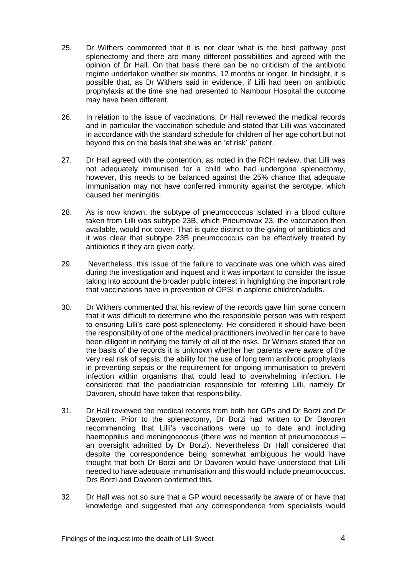- 25. Dr Withers commented that it is not clear what is the best pathway post splenectomy and there are many different possibilities and agreed with the opinion of Dr Hall. On that basis there can be no criticism of the antibiotic regime undertaken whether six months, 12 months or longer. In hindsight, it is possible that, as Dr Withers said in evidence, if Lilli had been on antibiotic prophylaxis at the time she had presented to Nambour Hospital the outcome may have been different.
- 26. In relation to the issue of vaccinations, Dr Hall reviewed the medical records and in particular the vaccination schedule and stated that Lilli was vaccinated in accordance with the standard schedule for children of her age cohort but not beyond this on the basis that she was an 'at risk' patient.
- 27. Dr Hall agreed with the contention, as noted in the RCH review, that Lilli was not adequately immunised for a child who had undergone splenectomy, however, this needs to be balanced against the 25% chance that adequate immunisation may not have conferred immunity against the serotype, which caused her meningitis.
- 28. As is now known, the subtype of pneumococcus isolated in a blood culture taken from Lilli was subtype 23B, which Pneumovax 23, the vaccination then available, would not cover. That is quite distinct to the giving of antibiotics and it was clear that subtype 23B pneumococcus can be effectively treated by antibiotics if they are given early.
- 29. Nevertheless, this issue of the failure to vaccinate was one which was aired during the investigation and inquest and it was important to consider the issue taking into account the broader public interest in highlighting the important role that vaccinations have in prevention of OPSI in asplenic children/adults.
- 30. Dr Withers commented that his review of the records gave him some concern that it was difficult to determine who the responsible person was with respect to ensuring Lilli's care post-splenectomy. He considered it should have been the responsibility of one of the medical practitioners involved in her care to have been diligent in notifying the family of all of the risks. Dr Withers stated that on the basis of the records it is unknown whether her parents were aware of the very real risk of sepsis; the ability for the use of long term antibiotic prophylaxis in preventing sepsis or the requirement for ongoing immunisation to prevent infection within organisms that could lead to overwhelming infection. He considered that the paediatrician responsible for referring Lilli, namely Dr Davoren, should have taken that responsibility.
- 31. Dr Hall reviewed the medical records from both her GPs and Dr Borzi and Dr Davoren. Prior to the splenectomy, Dr Borzi had written to Dr Davoren recommending that Lilli's vaccinations were up to date and including haemophilus and meningococcus (there was no mention of pneumococcus – an oversight admitted by Dr Borzi). Nevertheless Dr Hall considered that despite the correspondence being somewhat ambiguous he would have thought that both Dr Borzi and Dr Davoren would have understood that Lilli needed to have adequate immunisation and this would include pneumococcus. Drs Borzi and Davoren confirmed this.
- 32. Dr Hall was not so sure that a GP would necessarily be aware of or have that knowledge and suggested that any correspondence from specialists would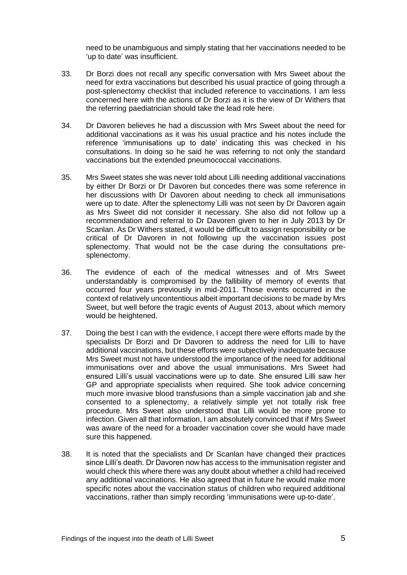need to be unambiguous and simply stating that her vaccinations needed to be 'up to date' was insufficient.

- 33. Dr Borzi does not recall any specific conversation with Mrs Sweet about the need for extra vaccinations but described his usual practice of going through a post-splenectomy checklist that included reference to vaccinations. I am less concerned here with the actions of Dr Borzi as it is the view of Dr Withers that the referring paediatrician should take the lead role here.
- 34. Dr Davoren believes he had a discussion with Mrs Sweet about the need for additional vaccinations as it was his usual practice and his notes include the reference 'immunisations up to date' indicating this was checked in his consultations. In doing so he said he was referring to not only the standard vaccinations but the extended pneumococcal vaccinations.
- 35. Mrs Sweet states she was never told about Lilli needing additional vaccinations by either Dr Borzi or Dr Davoren but concedes there was some reference in her discussions with Dr Davoren about needing to check all immunisations were up to date. After the splenectomy Lilli was not seen by Dr Davoren again as Mrs Sweet did not consider it necessary. She also did not follow up a recommendation and referral to Dr Davoren given to her in July 2013 by Dr Scanlan. As Dr Withers stated, it would be difficult to assign responsibility or be critical of Dr Davoren in not following up the vaccination issues post splenectomy. That would not be the case during the consultations presplenectomy.
- 36. The evidence of each of the medical witnesses and of Mrs Sweet understandably is compromised by the fallibility of memory of events that occurred four years previously in mid-2011. Those events occurred in the context of relatively uncontentious albeit important decisions to be made by Mrs Sweet, but well before the tragic events of August 2013, about which memory would be heightened.
- 37. Doing the best I can with the evidence, I accept there were efforts made by the specialists Dr Borzi and Dr Davoren to address the need for Lilli to have additional vaccinations, but these efforts were subjectively inadequate because Mrs Sweet must not have understood the importance of the need for additional immunisations over and above the usual immunisations. Mrs Sweet had ensured Lilli's usual vaccinations were up to date. She ensured Lilli saw her GP and appropriate specialists when required. She took advice concerning much more invasive blood transfusions than a simple vaccination jab and she consented to a splenectomy, a relatively simple yet not totally risk free procedure. Mrs Sweet also understood that Lilli would be more prone to infection. Given all that information, I am absolutely convinced that if Mrs Sweet was aware of the need for a broader vaccination cover she would have made sure this happened.
- 38. It is noted that the specialists and Dr Scanlan have changed their practices since Lilli's death. Dr Davoren now has access to the immunisation register and would check this where there was any doubt about whether a child had received any additional vaccinations. He also agreed that in future he would make more specific notes about the vaccination status of children who required additional vaccinations, rather than simply recording 'immunisations were up-to-date'.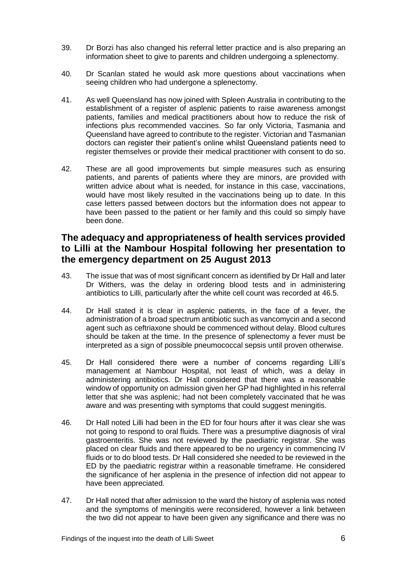- 39. Dr Borzi has also changed his referral letter practice and is also preparing an information sheet to give to parents and children undergoing a splenectomy.
- 40. Dr Scanlan stated he would ask more questions about vaccinations when seeing children who had undergone a splenectomy.
- 41. As well Queensland has now joined with Spleen Australia in contributing to the establishment of a register of asplenic patients to raise awareness amongst patients, families and medical practitioners about how to reduce the risk of infections plus recommended vaccines. So far only Victoria, Tasmania and Queensland have agreed to contribute to the register. Victorian and Tasmanian doctors can register their patient's online whilst Queensland patients need to register themselves or provide their medical practitioner with consent to do so.
- 42. These are all good improvements but simple measures such as ensuring patients, and parents of patients where they are minors, are provided with written advice about what is needed, for instance in this case, vaccinations, would have most likely resulted in the vaccinations being up to date. In this case letters passed between doctors but the information does not appear to have been passed to the patient or her family and this could so simply have been done.

# <span id="page-8-0"></span>**The adequacy and appropriateness of health services provided to Lilli at the Nambour Hospital following her presentation to the emergency department on 25 August 2013**

- 43. The issue that was of most significant concern as identified by Dr Hall and later Dr Withers, was the delay in ordering blood tests and in administering antibiotics to Lilli, particularly after the white cell count was recorded at 46.5.
- 44. Dr Hall stated it is clear in asplenic patients, in the face of a fever, the administration of a broad spectrum antibiotic such as vancomycin and a second agent such as ceftriaxone should be commenced without delay. Blood cultures should be taken at the time. In the presence of splenectomy a fever must be interpreted as a sign of possible pneumococcal sepsis until proven otherwise.
- 45. Dr Hall considered there were a number of concerns regarding Lilli's management at Nambour Hospital, not least of which, was a delay in administering antibiotics. Dr Hall considered that there was a reasonable window of opportunity on admission given her GP had highlighted in his referral letter that she was asplenic; had not been completely vaccinated that he was aware and was presenting with symptoms that could suggest meningitis.
- 46. Dr Hall noted Lilli had been in the ED for four hours after it was clear she was not going to respond to oral fluids. There was a presumptive diagnosis of viral gastroenteritis. She was not reviewed by the paediatric registrar. She was placed on clear fluids and there appeared to be no urgency in commencing IV fluids or to do blood tests. Dr Hall considered she needed to be reviewed in the ED by the paediatric registrar within a reasonable timeframe. He considered the significance of her asplenia in the presence of infection did not appear to have been appreciated.
- 47. Dr Hall noted that after admission to the ward the history of asplenia was noted and the symptoms of meningitis were reconsidered, however a link between the two did not appear to have been given any significance and there was no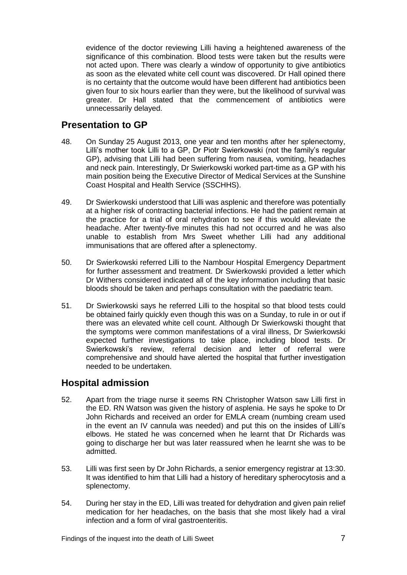evidence of the doctor reviewing Lilli having a heightened awareness of the significance of this combination. Blood tests were taken but the results were not acted upon. There was clearly a window of opportunity to give antibiotics as soon as the elevated white cell count was discovered. Dr Hall opined there is no certainty that the outcome would have been different had antibiotics been given four to six hours earlier than they were, but the likelihood of survival was greater. Dr Hall stated that the commencement of antibiotics were unnecessarily delayed.

#### <span id="page-9-0"></span>**Presentation to GP**

- 48. On Sunday 25 August 2013, one year and ten months after her splenectomy, Lilli's mother took Lilli to a GP, Dr Piotr Swierkowski (not the family's regular GP), advising that Lilli had been suffering from nausea, vomiting, headaches and neck pain. Interestingly, Dr Swierkowski worked part-time as a GP with his main position being the Executive Director of Medical Services at the Sunshine Coast Hospital and Health Service (SSCHHS).
- 49. Dr Swierkowski understood that Lilli was asplenic and therefore was potentially at a higher risk of contracting bacterial infections. He had the patient remain at the practice for a trial of oral rehydration to see if this would alleviate the headache. After twenty-five minutes this had not occurred and he was also unable to establish from Mrs Sweet whether Lilli had any additional immunisations that are offered after a splenectomy.
- 50. Dr Swierkowski referred Lilli to the Nambour Hospital Emergency Department for further assessment and treatment. Dr Swierkowski provided a letter which Dr Withers considered indicated all of the key information including that basic bloods should be taken and perhaps consultation with the paediatric team.
- 51. Dr Swierkowski says he referred Lilli to the hospital so that blood tests could be obtained fairly quickly even though this was on a Sunday, to rule in or out if there was an elevated white cell count. Although Dr Swierkowski thought that the symptoms were common manifestations of a viral illness, Dr Swierkowski expected further investigations to take place, including blood tests. Dr Swierkowski's review, referral decision and letter of referral were comprehensive and should have alerted the hospital that further investigation needed to be undertaken.

# <span id="page-9-1"></span>**Hospital admission**

- 52. Apart from the triage nurse it seems RN Christopher Watson saw Lilli first in the ED. RN Watson was given the history of asplenia. He says he spoke to Dr John Richards and received an order for EMLA cream (numbing cream used in the event an IV cannula was needed) and put this on the insides of Lilli's elbows. He stated he was concerned when he learnt that Dr Richards was going to discharge her but was later reassured when he learnt she was to be admitted.
- 53. Lilli was first seen by Dr John Richards, a senior emergency registrar at 13:30. It was identified to him that Lilli had a history of hereditary spherocytosis and a splenectomy.
- 54. During her stay in the ED, Lilli was treated for dehydration and given pain relief medication for her headaches, on the basis that she most likely had a viral infection and a form of viral gastroenteritis.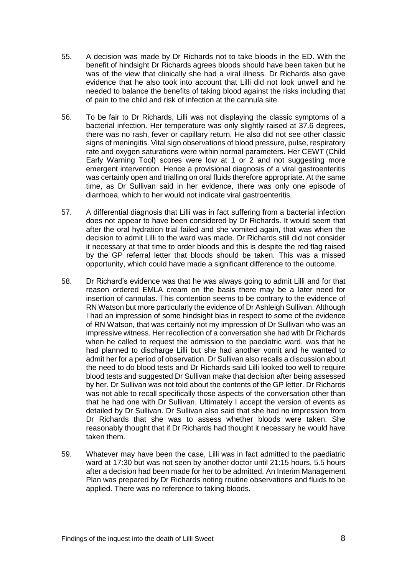- 55. A decision was made by Dr Richards not to take bloods in the ED. With the benefit of hindsight Dr Richards agrees bloods should have been taken but he was of the view that clinically she had a viral illness. Dr Richards also gave evidence that he also took into account that Lilli did not look unwell and he needed to balance the benefits of taking blood against the risks including that of pain to the child and risk of infection at the cannula site.
- 56. To be fair to Dr Richards, Lilli was not displaying the classic symptoms of a bacterial infection. Her temperature was only slightly raised at 37.6 degrees, there was no rash, fever or capillary return. He also did not see other classic signs of meningitis. Vital sign observations of blood pressure, pulse, respiratory rate and oxygen saturations were within normal parameters. Her CEWT (Child Early Warning Tool) scores were low at 1 or 2 and not suggesting more emergent intervention. Hence a provisional diagnosis of a viral gastroenteritis was certainly open and trialling on oral fluids therefore appropriate. At the same time, as Dr Sullivan said in her evidence, there was only one episode of diarrhoea, which to her would not indicate viral gastroenteritis.
- 57. A differential diagnosis that Lilli was in fact suffering from a bacterial infection does not appear to have been considered by Dr Richards. It would seem that after the oral hydration trial failed and she vomited again, that was when the decision to admit Lilli to the ward was made. Dr Richards still did not consider it necessary at that time to order bloods and this is despite the red flag raised by the GP referral letter that bloods should be taken. This was a missed opportunity, which could have made a significant difference to the outcome.
- 58. Dr Richard's evidence was that he was always going to admit Lilli and for that reason ordered EMLA cream on the basis there may be a later need for insertion of cannulas. This contention seems to be contrary to the evidence of RN Watson but more particularly the evidence of Dr Ashleigh Sullivan. Although I had an impression of some hindsight bias in respect to some of the evidence of RN Watson, that was certainly not my impression of Dr Sullivan who was an impressive witness. Her recollection of a conversation she had with Dr Richards when he called to request the admission to the paediatric ward, was that he had planned to discharge Lilli but she had another vomit and he wanted to admit her for a period of observation. Dr Sullivan also recalls a discussion about the need to do blood tests and Dr Richards said Lilli looked too well to require blood tests and suggested Dr Sullivan make that decision after being assessed by her. Dr Sullivan was not told about the contents of the GP letter. Dr Richards was not able to recall specifically those aspects of the conversation other than that he had one with Dr Sullivan. Ultimately I accept the version of events as detailed by Dr Sullivan. Dr Sullivan also said that she had no impression from Dr Richards that she was to assess whether bloods were taken. She reasonably thought that if Dr Richards had thought it necessary he would have taken them.
- 59. Whatever may have been the case, Lilli was in fact admitted to the paediatric ward at 17:30 but was not seen by another doctor until 21:15 hours, 5.5 hours after a decision had been made for her to be admitted. An Interim Management Plan was prepared by Dr Richards noting routine observations and fluids to be applied. There was no reference to taking bloods.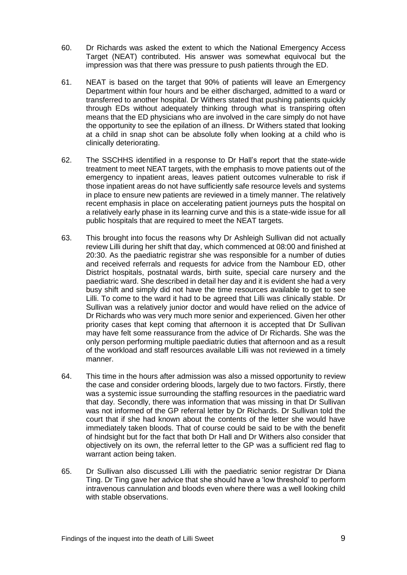- 60. Dr Richards was asked the extent to which the National Emergency Access Target (NEAT) contributed. His answer was somewhat equivocal but the impression was that there was pressure to push patients through the ED.
- 61. NEAT is based on the target that 90% of patients will leave an Emergency Department within four hours and be either discharged, admitted to a ward or transferred to another hospital. Dr Withers stated that pushing patients quickly through EDs without adequately thinking through what is transpiring often means that the ED physicians who are involved in the care simply do not have the opportunity to see the epilation of an illness. Dr Withers stated that looking at a child in snap shot can be absolute folly when looking at a child who is clinically deteriorating.
- 62. The SSCHHS identified in a response to Dr Hall's report that the state-wide treatment to meet NEAT targets, with the emphasis to move patients out of the emergency to inpatient areas, leaves patient outcomes vulnerable to risk if those inpatient areas do not have sufficiently safe resource levels and systems in place to ensure new patients are reviewed in a timely manner. The relatively recent emphasis in place on accelerating patient journeys puts the hospital on a relatively early phase in its learning curve and this is a state-wide issue for all public hospitals that are required to meet the NEAT targets.
- 63. This brought into focus the reasons why Dr Ashleigh Sullivan did not actually review Lilli during her shift that day, which commenced at 08:00 and finished at 20:30. As the paediatric registrar she was responsible for a number of duties and received referrals and requests for advice from the Nambour ED, other District hospitals, postnatal wards, birth suite, special care nursery and the paediatric ward. She described in detail her day and it is evident she had a very busy shift and simply did not have the time resources available to get to see Lilli. To come to the ward it had to be agreed that Lilli was clinically stable. Dr Sullivan was a relatively junior doctor and would have relied on the advice of Dr Richards who was very much more senior and experienced. Given her other priority cases that kept coming that afternoon it is accepted that Dr Sullivan may have felt some reassurance from the advice of Dr Richards. She was the only person performing multiple paediatric duties that afternoon and as a result of the workload and staff resources available Lilli was not reviewed in a timely manner.
- 64. This time in the hours after admission was also a missed opportunity to review the case and consider ordering bloods, largely due to two factors. Firstly, there was a systemic issue surrounding the staffing resources in the paediatric ward that day. Secondly, there was information that was missing in that Dr Sullivan was not informed of the GP referral letter by Dr Richards. Dr Sullivan told the court that if she had known about the contents of the letter she would have immediately taken bloods. That of course could be said to be with the benefit of hindsight but for the fact that both Dr Hall and Dr Withers also consider that objectively on its own, the referral letter to the GP was a sufficient red flag to warrant action being taken.
- 65. Dr Sullivan also discussed Lilli with the paediatric senior registrar Dr Diana Ting. Dr Ting gave her advice that she should have a 'low threshold' to perform intravenous cannulation and bloods even where there was a well looking child with stable observations.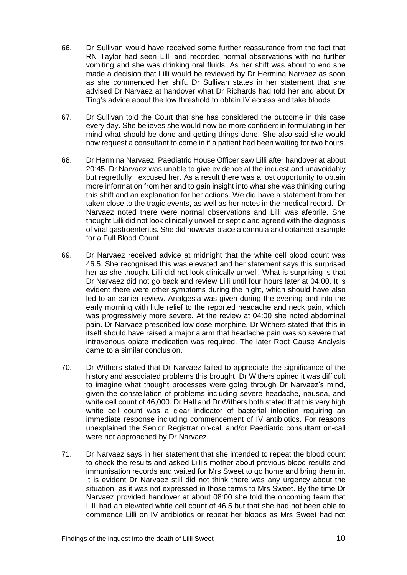- 66. Dr Sullivan would have received some further reassurance from the fact that RN Taylor had seen Lilli and recorded normal observations with no further vomiting and she was drinking oral fluids. As her shift was about to end she made a decision that Lilli would be reviewed by Dr Hermina Narvaez as soon as she commenced her shift. Dr Sullivan states in her statement that she advised Dr Narvaez at handover what Dr Richards had told her and about Dr Ting's advice about the low threshold to obtain IV access and take bloods.
- 67. Dr Sullivan told the Court that she has considered the outcome in this case every day. She believes she would now be more confident in formulating in her mind what should be done and getting things done. She also said she would now request a consultant to come in if a patient had been waiting for two hours.
- 68. Dr Hermina Narvaez, Paediatric House Officer saw Lilli after handover at about 20:45. Dr Narvaez was unable to give evidence at the inquest and unavoidably but regretfully I excused her. As a result there was a lost opportunity to obtain more information from her and to gain insight into what she was thinking during this shift and an explanation for her actions. We did have a statement from her taken close to the tragic events, as well as her notes in the medical record. Dr Narvaez noted there were normal observations and Lilli was afebrile. She thought Lilli did not look clinically unwell or septic and agreed with the diagnosis of viral gastroenteritis. She did however place a cannula and obtained a sample for a Full Blood Count.
- 69. Dr Narvaez received advice at midnight that the white cell blood count was 46.5. She recognised this was elevated and her statement says this surprised her as she thought Lilli did not look clinically unwell. What is surprising is that Dr Narvaez did not go back and review Lilli until four hours later at 04:00. It is evident there were other symptoms during the night, which should have also led to an earlier review. Analgesia was given during the evening and into the early morning with little relief to the reported headache and neck pain, which was progressively more severe. At the review at 04:00 she noted abdominal pain. Dr Narvaez prescribed low dose morphine. Dr Withers stated that this in itself should have raised a major alarm that headache pain was so severe that intravenous opiate medication was required. The later Root Cause Analysis came to a similar conclusion.
- 70. Dr Withers stated that Dr Narvaez failed to appreciate the significance of the history and associated problems this brought. Dr Withers opined it was difficult to imagine what thought processes were going through Dr Narvaez's mind, given the constellation of problems including severe headache, nausea, and white cell count of 46,000. Dr Hall and Dr Withers both stated that this very high white cell count was a clear indicator of bacterial infection requiring an immediate response including commencement of IV antibiotics. For reasons unexplained the Senior Registrar on-call and/or Paediatric consultant on-call were not approached by Dr Narvaez.
- 71. Dr Narvaez says in her statement that she intended to repeat the blood count to check the results and asked Lilli's mother about previous blood results and immunisation records and waited for Mrs Sweet to go home and bring them in. It is evident Dr Narvaez still did not think there was any urgency about the situation, as it was not expressed in those terms to Mrs Sweet. By the time Dr Narvaez provided handover at about 08:00 she told the oncoming team that Lilli had an elevated white cell count of 46.5 but that she had not been able to commence Lilli on IV antibiotics or repeat her bloods as Mrs Sweet had not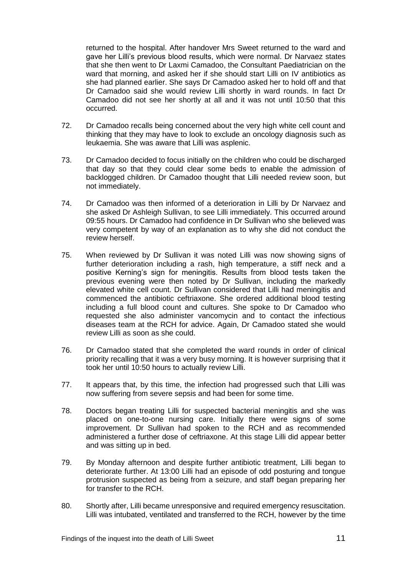returned to the hospital. After handover Mrs Sweet returned to the ward and gave her Lilli's previous blood results, which were normal. Dr Narvaez states that she then went to Dr Laxmi Camadoo, the Consultant Paediatrician on the ward that morning, and asked her if she should start Lilli on IV antibiotics as she had planned earlier. She says Dr Camadoo asked her to hold off and that Dr Camadoo said she would review Lilli shortly in ward rounds. In fact Dr Camadoo did not see her shortly at all and it was not until 10:50 that this occurred.

- 72. Dr Camadoo recalls being concerned about the very high white cell count and thinking that they may have to look to exclude an oncology diagnosis such as leukaemia. She was aware that Lilli was asplenic.
- 73. Dr Camadoo decided to focus initially on the children who could be discharged that day so that they could clear some beds to enable the admission of backlogged children. Dr Camadoo thought that Lilli needed review soon, but not immediately.
- 74. Dr Camadoo was then informed of a deterioration in Lilli by Dr Narvaez and she asked Dr Ashleigh Sullivan, to see Lilli immediately. This occurred around 09:55 hours. Dr Camadoo had confidence in Dr Sullivan who she believed was very competent by way of an explanation as to why she did not conduct the review herself.
- 75. When reviewed by Dr Sullivan it was noted Lilli was now showing signs of further deterioration including a rash, high temperature, a stiff neck and a positive Kerning's sign for meningitis. Results from blood tests taken the previous evening were then noted by Dr Sullivan, including the markedly elevated white cell count. Dr Sullivan considered that Lilli had meningitis and commenced the antibiotic ceftriaxone. She ordered additional blood testing including a full blood count and cultures. She spoke to Dr Camadoo who requested she also administer vancomycin and to contact the infectious diseases team at the RCH for advice. Again, Dr Camadoo stated she would review Lilli as soon as she could.
- 76. Dr Camadoo stated that she completed the ward rounds in order of clinical priority recalling that it was a very busy morning. It is however surprising that it took her until 10:50 hours to actually review Lilli.
- 77. It appears that, by this time, the infection had progressed such that Lilli was now suffering from severe sepsis and had been for some time.
- 78. Doctors began treating Lilli for suspected bacterial meningitis and she was placed on one-to-one nursing care. Initially there were signs of some improvement. Dr Sullivan had spoken to the RCH and as recommended administered a further dose of ceftriaxone. At this stage Lilli did appear better and was sitting up in bed.
- 79. By Monday afternoon and despite further antibiotic treatment, Lilli began to deteriorate further. At 13:00 Lilli had an episode of odd posturing and tongue protrusion suspected as being from a seizure, and staff began preparing her for transfer to the RCH.
- 80. Shortly after, Lilli became unresponsive and required emergency resuscitation. Lilli was intubated, ventilated and transferred to the RCH, however by the time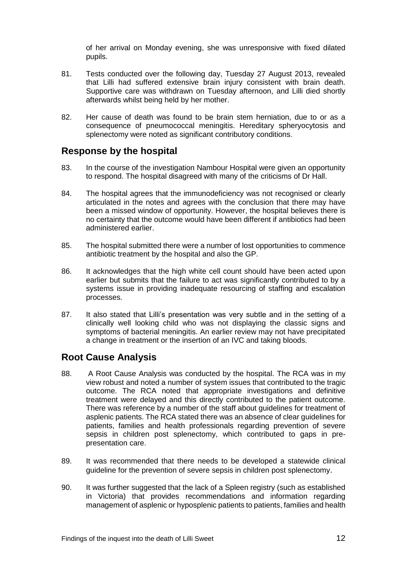of her arrival on Monday evening, she was unresponsive with fixed dilated pupils.

- 81. Tests conducted over the following day, Tuesday 27 August 2013, revealed that Lilli had suffered extensive brain injury consistent with brain death. Supportive care was withdrawn on Tuesday afternoon, and Lilli died shortly afterwards whilst being held by her mother.
- 82. Her cause of death was found to be brain stem herniation, due to or as a consequence of pneumococcal meningitis. Hereditary spheryocytosis and splenectomy were noted as significant contributory conditions.

#### <span id="page-14-0"></span>**Response by the hospital**

- 83. In the course of the investigation Nambour Hospital were given an opportunity to respond. The hospital disagreed with many of the criticisms of Dr Hall.
- 84. The hospital agrees that the immunodeficiency was not recognised or clearly articulated in the notes and agrees with the conclusion that there may have been a missed window of opportunity. However, the hospital believes there is no certainty that the outcome would have been different if antibiotics had been administered earlier.
- 85. The hospital submitted there were a number of lost opportunities to commence antibiotic treatment by the hospital and also the GP.
- 86. It acknowledges that the high white cell count should have been acted upon earlier but submits that the failure to act was significantly contributed to by a systems issue in providing inadequate resourcing of staffing and escalation processes.
- 87. It also stated that Lilli's presentation was very subtle and in the setting of a clinically well looking child who was not displaying the classic signs and symptoms of bacterial meningitis. An earlier review may not have precipitated a change in treatment or the insertion of an IVC and taking bloods.

#### <span id="page-14-1"></span>**Root Cause Analysis**

- 88. A Root Cause Analysis was conducted by the hospital. The RCA was in my view robust and noted a number of system issues that contributed to the tragic outcome. The RCA noted that appropriate investigations and definitive treatment were delayed and this directly contributed to the patient outcome. There was reference by a number of the staff about guidelines for treatment of asplenic patients. The RCA stated there was an absence of clear guidelines for patients, families and health professionals regarding prevention of severe sepsis in children post splenectomy, which contributed to gaps in prepresentation care.
- 89. It was recommended that there needs to be developed a statewide clinical guideline for the prevention of severe sepsis in children post splenectomy.
- 90. It was further suggested that the lack of a Spleen registry (such as established in Victoria) that provides recommendations and information regarding management of asplenic or hyposplenic patients to patients, families and health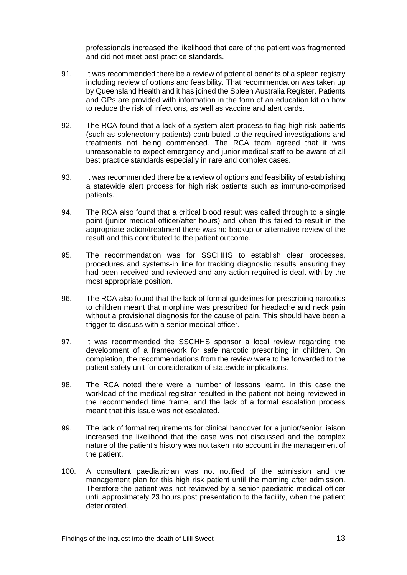professionals increased the likelihood that care of the patient was fragmented and did not meet best practice standards.

- 91. It was recommended there be a review of potential benefits of a spleen registry including review of options and feasibility. That recommendation was taken up by Queensland Health and it has joined the Spleen Australia Register. Patients and GPs are provided with information in the form of an education kit on how to reduce the risk of infections, as well as vaccine and alert cards.
- 92. The RCA found that a lack of a system alert process to flag high risk patients (such as splenectomy patients) contributed to the required investigations and treatments not being commenced. The RCA team agreed that it was unreasonable to expect emergency and junior medical staff to be aware of all best practice standards especially in rare and complex cases.
- 93. It was recommended there be a review of options and feasibility of establishing a statewide alert process for high risk patients such as immuno-comprised patients.
- 94. The RCA also found that a critical blood result was called through to a single point (junior medical officer/after hours) and when this failed to result in the appropriate action/treatment there was no backup or alternative review of the result and this contributed to the patient outcome.
- 95. The recommendation was for SSCHHS to establish clear processes, procedures and systems-in line for tracking diagnostic results ensuring they had been received and reviewed and any action required is dealt with by the most appropriate position.
- 96. The RCA also found that the lack of formal guidelines for prescribing narcotics to children meant that morphine was prescribed for headache and neck pain without a provisional diagnosis for the cause of pain. This should have been a trigger to discuss with a senior medical officer.
- 97. It was recommended the SSCHHS sponsor a local review regarding the development of a framework for safe narcotic prescribing in children. On completion, the recommendations from the review were to be forwarded to the patient safety unit for consideration of statewide implications.
- 98. The RCA noted there were a number of lessons learnt. In this case the workload of the medical registrar resulted in the patient not being reviewed in the recommended time frame, and the lack of a formal escalation process meant that this issue was not escalated.
- 99. The lack of formal requirements for clinical handover for a junior/senior liaison increased the likelihood that the case was not discussed and the complex nature of the patient's history was not taken into account in the management of the patient.
- 100. A consultant paediatrician was not notified of the admission and the management plan for this high risk patient until the morning after admission. Therefore the patient was not reviewed by a senior paediatric medical officer until approximately 23 hours post presentation to the facility, when the patient deteriorated.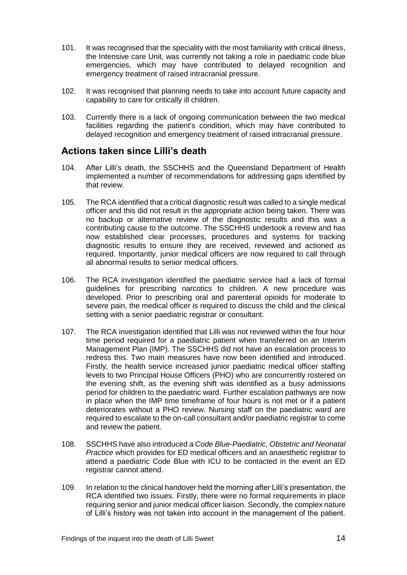- 101. It was recognised that the speciality with the most familiarity with critical illness, the Intensive care Unit, was currently not taking a role in paediatric code blue emergencies, which may have contributed to delayed recognition and emergency treatment of raised intracranial pressure.
- 102. It was recognised that planning needs to take into account future capacity and capability to care for critically ill children.
- 103. Currently there is a lack of ongoing communication between the two medical facilities regarding the patient's condition, which may have contributed to delayed recognition and emergency treatment of raised intracranial pressure.

#### <span id="page-16-0"></span>**Actions taken since Lilli's death**

- 104. After Lilli's death, the SSCHHS and the Queensland Department of Health implemented a number of recommendations for addressing gaps identified by that review.
- 105. The RCA identified that a critical diagnostic result was called to a single medical officer and this did not result in the appropriate action being taken. There was no backup or alternative review of the diagnostic results and this was a contributing cause to the outcome. The SSCHHS undertook a review and has now established clear processes, procedures and systems for tracking diagnostic results to ensure they are received, reviewed and actioned as required. Importantly, junior medical officers are now required to call through all abnormal results to senior medical officers.
- 106. The RCA investigation identified the paediatric service had a lack of formal guidelines for prescribing narcotics to children. A new procedure was developed. Prior to prescribing oral and parenteral opioids for moderate to severe pain, the medical officer is required to discuss the child and the clinical setting with a senior paediatric registrar or consultant.
- 107. The RCA investigation identified that Lilli was not reviewed within the four hour time period required for a paediatric patient when transferred on an Interim Management Plan (IMP). The SSCHHS did not have an escalation process to redress this. Two main measures have now been identified and introduced. Firstly, the health service increased junior paediatric medical officer staffing levels to two Principal House Officers (PHO) who are concurrently rostered on the evening shift, as the evening shift was identified as a busy admissions period for children to the paediatric ward. Further escalation pathways are now in place when the IMP time timeframe of four hours is not met or if a patient deteriorates without a PHO review. Nursing staff on the paediatric ward are required to escalate to the on-call consultant and/or paediatric registrar to come and review the patient.
- 108. SSCHHS have also introduced a *Code Blue-Paediatric, Obstetric and Neonatal Practice* which provides for ED medical officers and an anaesthetic registrar to attend a paediatric Code Blue with ICU to be contacted in the event an ED registrar cannot attend.
- 109. In relation to the clinical handover held the morning after Lilli's presentation, the RCA identified two issues. Firstly, there were no formal requirements in place requiring senior and junior medical officer liaison. Secondly, the complex nature of Lilli's history was not taken into account in the management of the patient.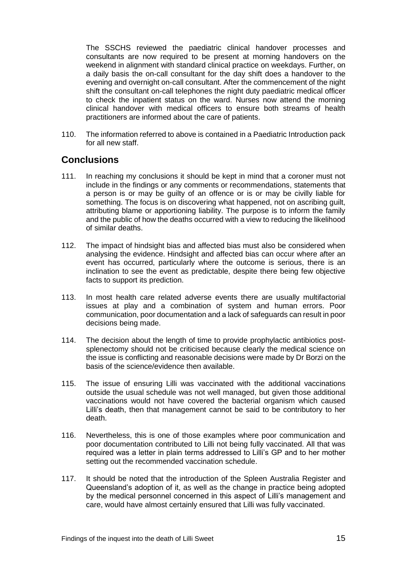The SSCHS reviewed the paediatric clinical handover processes and consultants are now required to be present at morning handovers on the weekend in alignment with standard clinical practice on weekdays. Further, on a daily basis the on-call consultant for the day shift does a handover to the evening and overnight on-call consultant. After the commencement of the night shift the consultant on-call telephones the night duty paediatric medical officer to check the inpatient status on the ward. Nurses now attend the morning clinical handover with medical officers to ensure both streams of health practitioners are informed about the care of patients.

110. The information referred to above is contained in a Paediatric Introduction pack for all new staff.

#### <span id="page-17-0"></span>**Conclusions**

- 111. In reaching my conclusions it should be kept in mind that a coroner must not include in the findings or any comments or recommendations, statements that a person is or may be guilty of an offence or is or may be civilly liable for something. The focus is on discovering what happened, not on ascribing guilt, attributing blame or apportioning liability. The purpose is to inform the family and the public of how the deaths occurred with a view to reducing the likelihood of similar deaths.
- 112. The impact of hindsight bias and affected bias must also be considered when analysing the evidence. Hindsight and affected bias can occur where after an event has occurred, particularly where the outcome is serious, there is an inclination to see the event as predictable, despite there being few objective facts to support its prediction.
- 113. In most health care related adverse events there are usually multifactorial issues at play and a combination of system and human errors. Poor communication, poor documentation and a lack of safeguards can result in poor decisions being made.
- 114. The decision about the length of time to provide prophylactic antibiotics postsplenectomy should not be criticised because clearly the medical science on the issue is conflicting and reasonable decisions were made by Dr Borzi on the basis of the science/evidence then available.
- 115. The issue of ensuring Lilli was vaccinated with the additional vaccinations outside the usual schedule was not well managed, but given those additional vaccinations would not have covered the bacterial organism which caused Lilli's death, then that management cannot be said to be contributory to her death.
- 116. Nevertheless, this is one of those examples where poor communication and poor documentation contributed to Lilli not being fully vaccinated. All that was required was a letter in plain terms addressed to Lilli's GP and to her mother setting out the recommended vaccination schedule.
- 117. It should be noted that the introduction of the Spleen Australia Register and Queensland's adoption of it, as well as the change in practice being adopted by the medical personnel concerned in this aspect of Lilli's management and care, would have almost certainly ensured that Lilli was fully vaccinated.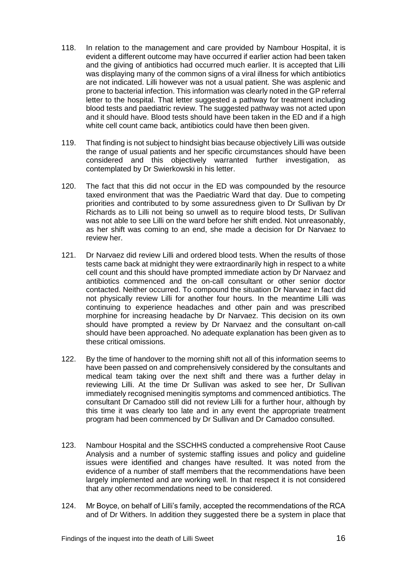- 118. In relation to the management and care provided by Nambour Hospital, it is evident a different outcome may have occurred if earlier action had been taken and the giving of antibiotics had occurred much earlier. It is accepted that Lilli was displaying many of the common signs of a viral illness for which antibiotics are not indicated. Lilli however was not a usual patient. She was asplenic and prone to bacterial infection. This information was clearly noted in the GP referral letter to the hospital. That letter suggested a pathway for treatment including blood tests and paediatric review. The suggested pathway was not acted upon and it should have. Blood tests should have been taken in the ED and if a high white cell count came back, antibiotics could have then been given.
- 119. That finding is not subject to hindsight bias because objectively Lilli was outside the range of usual patients and her specific circumstances should have been considered and this objectively warranted further investigation, as contemplated by Dr Swierkowski in his letter.
- 120. The fact that this did not occur in the ED was compounded by the resource taxed environment that was the Paediatric Ward that day. Due to competing priorities and contributed to by some assuredness given to Dr Sullivan by Dr Richards as to Lilli not being so unwell as to require blood tests, Dr Sullivan was not able to see Lilli on the ward before her shift ended. Not unreasonably, as her shift was coming to an end, she made a decision for Dr Narvaez to review her.
- 121. Dr Narvaez did review Lilli and ordered blood tests. When the results of those tests came back at midnight they were extraordinarily high in respect to a white cell count and this should have prompted immediate action by Dr Narvaez and antibiotics commenced and the on-call consultant or other senior doctor contacted. Neither occurred. To compound the situation Dr Narvaez in fact did not physically review Lilli for another four hours. In the meantime Lilli was continuing to experience headaches and other pain and was prescribed morphine for increasing headache by Dr Narvaez. This decision on its own should have prompted a review by Dr Narvaez and the consultant on-call should have been approached. No adequate explanation has been given as to these critical omissions.
- 122. By the time of handover to the morning shift not all of this information seems to have been passed on and comprehensively considered by the consultants and medical team taking over the next shift and there was a further delay in reviewing Lilli. At the time Dr Sullivan was asked to see her, Dr Sullivan immediately recognised meningitis symptoms and commenced antibiotics. The consultant Dr Camadoo still did not review Lilli for a further hour, although by this time it was clearly too late and in any event the appropriate treatment program had been commenced by Dr Sullivan and Dr Camadoo consulted.
- 123. Nambour Hospital and the SSCHHS conducted a comprehensive Root Cause Analysis and a number of systemic staffing issues and policy and guideline issues were identified and changes have resulted. It was noted from the evidence of a number of staff members that the recommendations have been largely implemented and are working well. In that respect it is not considered that any other recommendations need to be considered.
- 124. Mr Boyce, on behalf of Lilli's family, accepted the recommendations of the RCA and of Dr Withers. In addition they suggested there be a system in place that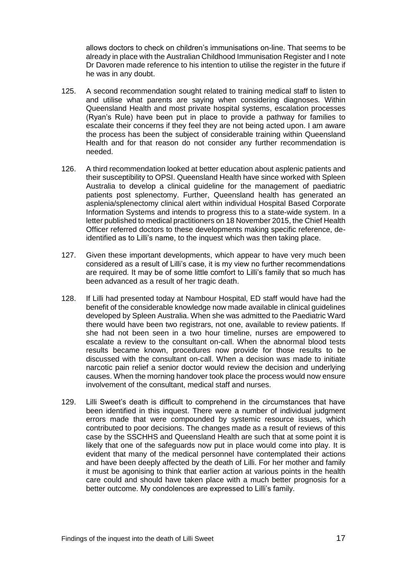allows doctors to check on children's immunisations on-line. That seems to be already in place with the Australian Childhood Immunisation Register and I note Dr Davoren made reference to his intention to utilise the register in the future if he was in any doubt.

- 125. A second recommendation sought related to training medical staff to listen to and utilise what parents are saying when considering diagnoses. Within Queensland Health and most private hospital systems, escalation processes (Ryan's Rule) have been put in place to provide a pathway for families to escalate their concerns if they feel they are not being acted upon. I am aware the process has been the subject of considerable training within Queensland Health and for that reason do not consider any further recommendation is needed.
- 126. A third recommendation looked at better education about asplenic patients and their susceptibility to OPSI. Queensland Health have since worked with Spleen Australia to develop a clinical guideline for the management of paediatric patients post splenectomy. Further, Queensland health has generated an asplenia/splenectomy clinical alert within individual Hospital Based Corporate Information Systems and intends to progress this to a state-wide system. In a letter published to medical practitioners on 18 November 2015, the Chief Health Officer referred doctors to these developments making specific reference, deidentified as to Lilli's name, to the inquest which was then taking place.
- 127. Given these important developments, which appear to have very much been considered as a result of Lilli's case, it is my view no further recommendations are required. It may be of some little comfort to Lilli's family that so much has been advanced as a result of her tragic death.
- 128. If Lilli had presented today at Nambour Hospital, ED staff would have had the benefit of the considerable knowledge now made available in clinical guidelines developed by Spleen Australia. When she was admitted to the Paediatric Ward there would have been two registrars, not one, available to review patients. If she had not been seen in a two hour timeline, nurses are empowered to escalate a review to the consultant on-call. When the abnormal blood tests results became known, procedures now provide for those results to be discussed with the consultant on-call. When a decision was made to initiate narcotic pain relief a senior doctor would review the decision and underlying causes. When the morning handover took place the process would now ensure involvement of the consultant, medical staff and nurses.
- 129. Lilli Sweet's death is difficult to comprehend in the circumstances that have been identified in this inquest. There were a number of individual judgment errors made that were compounded by systemic resource issues, which contributed to poor decisions. The changes made as a result of reviews of this case by the SSCHHS and Queensland Health are such that at some point it is likely that one of the safeguards now put in place would come into play. It is evident that many of the medical personnel have contemplated their actions and have been deeply affected by the death of Lilli. For her mother and family it must be agonising to think that earlier action at various points in the health care could and should have taken place with a much better prognosis for a better outcome. My condolences are expressed to Lilli's family.